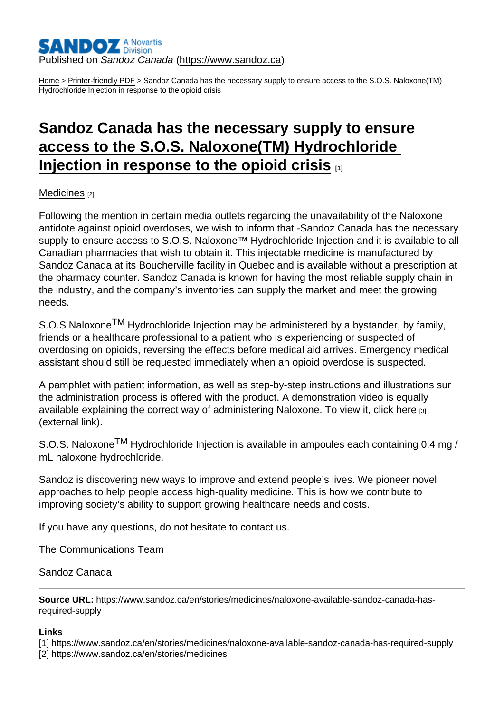## Published on Sandoz Canada [\(https://www.sandoz.ca](https://www.sandoz.ca))

[Home](https://www.sandoz.ca/en) > [Printer-friendly PDF](https://www.sandoz.ca/en/printpdf) > Sandoz Canada has the necessary supply to ensure access to the S.O.S. Naloxone(TM) Hydrochloride Injection in response to the opioid crisis

## [Sandoz Canada has the necessary supply to ensure](https://www.sandoz.ca/en/stories/medicines/naloxone-available-sandoz-canada-has-required-supply)  [access to the S.O.S. Naloxone\(TM\) Hydrochloride](https://www.sandoz.ca/en/stories/medicines/naloxone-available-sandoz-canada-has-required-supply)  [Injection in response to the opioid crisis](https://www.sandoz.ca/en/stories/medicines/naloxone-available-sandoz-canada-has-required-supply)  $\frac{1}{1}$

[Medicines](https://www.sandoz.ca/en/stories/medicines) [2]

Following the mention in certain media outlets regarding the unavailability of the Naloxone antidote against opioid overdoses, we wish to inform that -Sandoz Canada has the necessary supply to ensure access to S.O.S. Naloxone™ Hydrochloride Injection and it is available to all Canadian pharmacies that wish to obtain it. This injectable medicine is manufactured by Sandoz Canada at its Boucherville facility in Quebec and is available without a prescription at the pharmacy counter. Sandoz Canada is known for having the most reliable supply chain in the industry, and the company's inventories can supply the market and meet the growing needs.

S.O.S Naloxone<sup>TM</sup> Hydrochloride Injection may be administered by a bystander, by family, friends or a healthcare professional to a patient who is experiencing or suspected of overdosing on opioids, reversing the effects before medical aid arrives. Emergency medical assistant should still be requested immediately when an opioid overdose is suspected.

A pamphlet with patient information, as well as step-by-step instructions and illustrations sur the administration process is offered with the product. A demonstration video is equally available explaining the correct way of administering Naloxone. To view it, [click here](https://www.youtube.com/watch?v=odLNDd7JzAE&feature=youtu.be) [3] (external link).

S.O.S. Naloxone<sup>TM</sup> Hydrochloride Injection is available in ampoules each containing 0.4 mg / mL naloxone hydrochloride.

Sandoz is discovering new ways to improve and extend people's lives. We pioneer novel approaches to help people access high-quality medicine. This is how we contribute to improving society's ability to support growing healthcare needs and costs.

If you have any questions, do not hesitate to contact us.

The Communications Team

## Sandoz Canada

Source URL: https://www.sandoz.ca/en/stories/medicines/naloxone-available-sandoz-canada-hasrequired-supply

Links

[1] https://www.sandoz.ca/en/stories/medicines/naloxone-available-sandoz-canada-has-required-supply [2] https://www.sandoz.ca/en/stories/medicines